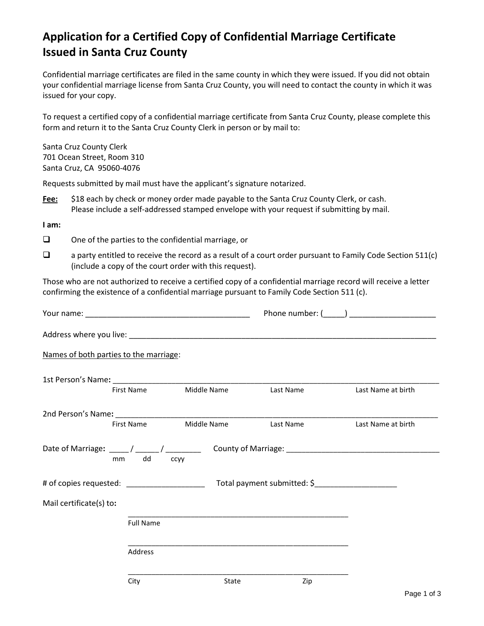## **Application for a Certified Copy of Confidential Marriage Certificate Issued in Santa Cruz County**

Confidential marriage certificates are filed in the same county in which they were issued. If you did not obtain your confidential marriage license from Santa Cruz County, you will need to contact the county in which it was issued for your copy.

To request a certified copy of a confidential marriage certificate from Santa Cruz County, please complete this form and return it to the Santa Cruz County Clerk in person or by mail to:

Santa Cruz County Clerk 701 Ocean Street, Room 310 Santa Cruz, CA 95060-4076

Requests submitted by mail must have the applicant's signature notarized.

**Fee:** \$18 each by check or money order made payable to the Santa Cruz County Clerk, or cash. Please include a self-addressed stamped envelope with your request if submitting by mail.

**I am:** 

- ❑ One of the parties to the confidential marriage, or
- ❑ a party entitled to receive the record as a result of a court order pursuant to Family Code Section 511(c) (include a copy of the court order with this request).

Those who are not authorized to receive a certified copy of a confidential marriage record will receive a letter confirming the existence of a confidential marriage pursuant to Family Code Section 511 (c).

| Names of both parties to the marriage: |                                  |       |                                                                                                                      |                                                     |  |  |
|----------------------------------------|----------------------------------|-------|----------------------------------------------------------------------------------------------------------------------|-----------------------------------------------------|--|--|
|                                        |                                  |       |                                                                                                                      |                                                     |  |  |
|                                        | First Name Middle Name Last Name |       |                                                                                                                      | Last Name at birth                                  |  |  |
|                                        |                                  |       |                                                                                                                      |                                                     |  |  |
| First Name                             | Middle Name                      |       | Last Name                                                                                                            | Last Name at birth                                  |  |  |
| mm dd                                  | ccyy                             |       |                                                                                                                      |                                                     |  |  |
|                                        |                                  |       |                                                                                                                      | Total payment submitted: \$________________________ |  |  |
| Mail certificate(s) to:                |                                  |       |                                                                                                                      |                                                     |  |  |
| <b>Full Name</b>                       |                                  |       | <u> 1980 - Jan James James James James James James James James James James James James James James James James J</u> |                                                     |  |  |
| Address                                |                                  |       |                                                                                                                      |                                                     |  |  |
| City                                   |                                  | State | Zip                                                                                                                  | $D = 4 + 4$                                         |  |  |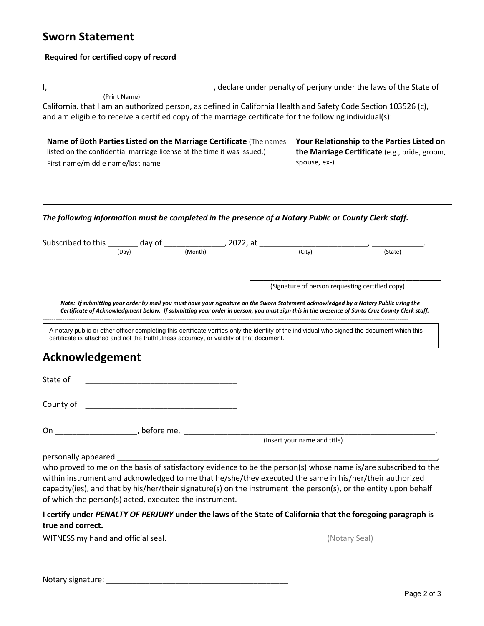## **Sworn Statement**

## **Required for certified copy of record**

I, \_\_\_\_\_\_\_\_\_\_\_\_\_\_\_\_\_\_\_\_\_\_\_\_\_\_\_\_\_\_\_\_\_\_\_\_\_\_, declare under penalty of perjury under the laws of the State of (Print Name)

California. that I am an authorized person, as defined in California Health and Safety Code Section 103526 (c), and am eligible to receive a certified copy of the marriage certificate for the following individual(s):

| Name of Both Parties Listed on the Marriage Certificate (The names<br>listed on the confidential marriage license at the time it was issued.)<br>First name/middle name/last name | Your Relationship to the Parties Listed on<br>the Marriage Certificate (e.g., bride, groom,<br>spouse, ex-) |  |
|-----------------------------------------------------------------------------------------------------------------------------------------------------------------------------------|-------------------------------------------------------------------------------------------------------------|--|
|                                                                                                                                                                                   |                                                                                                             |  |
|                                                                                                                                                                                   |                                                                                                             |  |

*The following information must be completed in the presence of a Notary Public or County Clerk staff.*

| Subscribed to this $\frac{1}{\sqrt{N\omega}}$ day of $\frac{1}{\sqrt{N\omega}}$ , 2022, at $\frac{1}{\sqrt{N\omega}}$ |                                                    |         |                                                                                                                                              |                                                                                                                                               |  |  |
|-----------------------------------------------------------------------------------------------------------------------|----------------------------------------------------|---------|----------------------------------------------------------------------------------------------------------------------------------------------|-----------------------------------------------------------------------------------------------------------------------------------------------|--|--|
|                                                                                                                       | (Dav)                                              | (Month) | (City)                                                                                                                                       | (State)                                                                                                                                       |  |  |
|                                                                                                                       |                                                    |         |                                                                                                                                              |                                                                                                                                               |  |  |
|                                                                                                                       |                                                    |         | (Signature of person requesting certified copy)                                                                                              |                                                                                                                                               |  |  |
|                                                                                                                       |                                                    |         | Note: If submitting your order by mail you must have your signature on the Sworn Statement acknowledged by a Notary Public using the         | Certificate of Acknowledgment below. If submitting your order in person, you must sign this in the presence of Santa Cruz County Clerk staff. |  |  |
| certificate is attached and not the truthfulness accuracy, or validity of that document.                              |                                                    |         | A notary public or other officer completing this certificate verifies only the identity of the individual who signed the document which this |                                                                                                                                               |  |  |
| Acknowledgement                                                                                                       |                                                    |         |                                                                                                                                              |                                                                                                                                               |  |  |
| State of                                                                                                              | <u> 1989 - John Stein, Amerikaansk politiker (</u> |         |                                                                                                                                              |                                                                                                                                               |  |  |
| County of                                                                                                             |                                                    |         |                                                                                                                                              |                                                                                                                                               |  |  |
| On example, before me,                                                                                                |                                                    |         |                                                                                                                                              |                                                                                                                                               |  |  |
|                                                                                                                       |                                                    |         | (Insert your name and title)                                                                                                                 |                                                                                                                                               |  |  |
| personally appeared                                                                                                   |                                                    |         |                                                                                                                                              |                                                                                                                                               |  |  |
|                                                                                                                       |                                                    |         |                                                                                                                                              | who proved to me on the basis of satisfactory evidence to be the person(s) whose name is/are subscribed to the                                |  |  |
|                                                                                                                       |                                                    |         | within instrument and acknowledged to me that he/she/they executed the same in his/her/their authorized                                      |                                                                                                                                               |  |  |

**I certify under** *PENALTY OF PERJURY* **under the laws of the State of California that the foregoing paragraph is true and correct.**

capacity(ies), and that by his/her/their signature(s) on the instrument the person(s), or the entity upon behalf

WITNESS my hand and official seal. The set of the seal of the seal of the seal of the seal of the seal of the seal of the seal of the seal of the seal of the seal of the seal of the seal of the seal of the seal of the seal

of which the person(s) acted, executed the instrument.